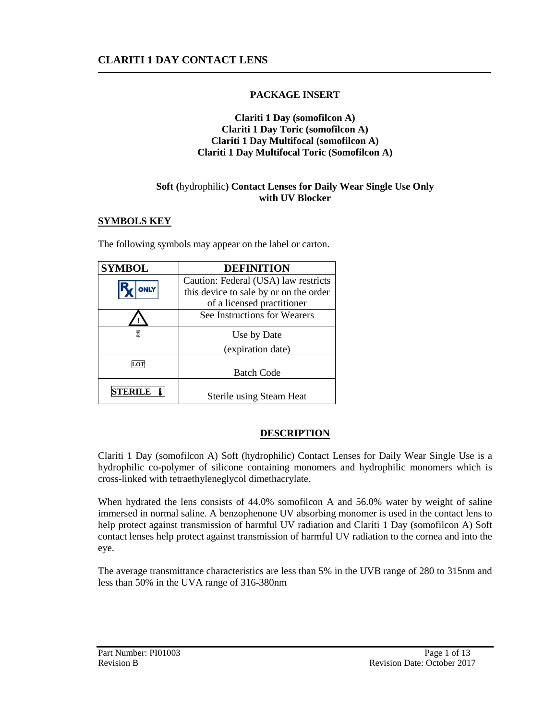# **PACKAGE INSERT**

#### **Clariti 1 Day (somofilcon A) Clariti 1 Day Toric (somofilcon A) Clariti 1 Day Multifocal (somofilcon A) Clariti 1 Day Multifocal Toric (Somofilcon A)**

## **Soft (**hydrophilic**) Contact Lenses for Daily Wear Single Use Only with UV Blocker**

## **SYMBOLS KEY**

The following symbols may appear on the label or carton.

| <b>SYMBOL</b> | <b>DEFINITION</b>                      |
|---------------|----------------------------------------|
|               | Caution: Federal (USA) law restricts   |
| <b>ONLY</b>   | this device to sale by or on the order |
|               | of a licensed practitioner             |
|               | See Instructions for Wearers           |
|               | Use by Date                            |
|               | (expiration date)                      |
| LOT           |                                        |
|               | <b>Batch Code</b>                      |
|               | Sterile using Steam Heat               |

# **DESCRIPTION**

Clariti 1 Day (somofilcon A) Soft (hydrophilic) Contact Lenses for Daily Wear Single Use is a hydrophilic co-polymer of silicone containing monomers and hydrophilic monomers which is cross-linked with tetraethyleneglycol dimethacrylate.

When hydrated the lens consists of 44.0% somofilcon A and 56.0% water by weight of saline immersed in normal saline. A benzophenone UV absorbing monomer is used in the contact lens to help protect against transmission of harmful UV radiation and Clariti 1 Day (somofilcon A) Soft contact lenses help protect against transmission of harmful UV radiation to the cornea and into the eye.

The average transmittance characteristics are less than 5% in the UVB range of 280 to 315nm and less than 50% in the UVA range of 316-380nm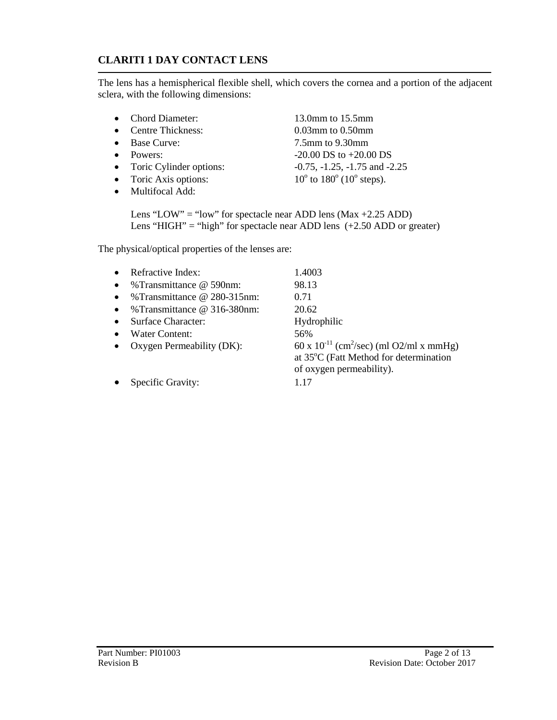The lens has a hemispherical flexible shell, which covers the cornea and a portion of the adjacent sclera, with the following dimensions:

- Chord Diameter: 13.0mm to 15.5mm
- Centre Thickness: 0.03mm to 0.50mm
- 
- 
- Toric Cylinder options:
- $\bullet$  Toric Axis options:
- Multifocal Add:

• Base Curve: 7.5mm to 9.30mm • Powers:<br>
• Toric Cylinder options:<br>  $-20.00 \text{ DS}$  to  $+20.00 \text{ DS}$ <br>  $-0.75, -1.25, -1.75 \text{ and } -2.25$ to  $180^\circ$  ( $10^\circ$  steps).

Lens "LOW" = "low" for spectacle near ADD lens ( $Max + 2.25$  ADD) Lens "HIGH" = "high" for spectacle near ADD lens  $(+2.50$  ADD or greater)

The physical/optical properties of the lenses are:

| Refractive Index:                    | 1.4003                                                                                                                         |
|--------------------------------------|--------------------------------------------------------------------------------------------------------------------------------|
| %Transmittance @ 590nm:              | 98.13                                                                                                                          |
| %Transmittance @ 280-315nm:          | 0.71                                                                                                                           |
| % Transmittance $\omega$ 316-380 nm: | 20.62                                                                                                                          |
| Surface Character:                   | Hydrophilic                                                                                                                    |
| Water Content:                       | 56%                                                                                                                            |
| Oxygen Permeability (DK):            | 60 x $10^{-11}$ (cm <sup>2</sup> /sec) (ml O2/ml x mmHg)<br>at 35°C (Fatt Method for determination<br>of oxygen permeability). |
| Specific Gravity:                    | 1 17                                                                                                                           |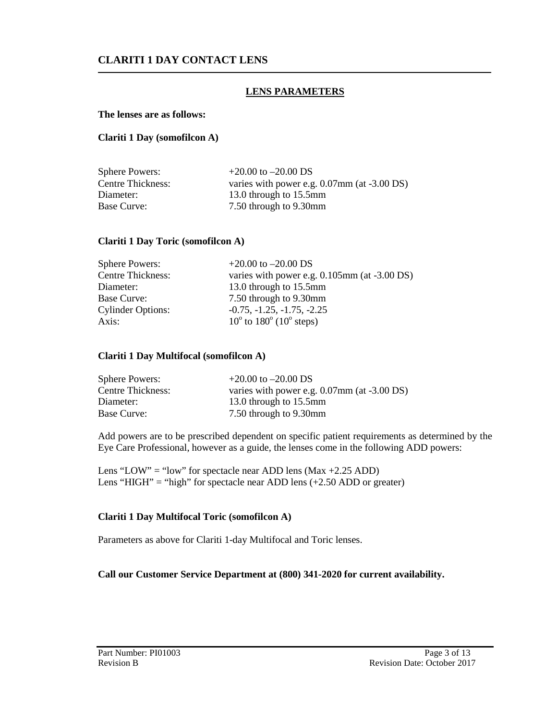### **LENS PARAMETERS**

#### **The lenses are as follows:**

#### **Clariti 1 Day (somofilcon A)**

| <b>Sphere Powers:</b>    | $+20.00$ to $-20.00$ DS                        |
|--------------------------|------------------------------------------------|
| <b>Centre Thickness:</b> | varies with power e.g. $0.07$ mm (at -3.00 DS) |
| Diameter:                | 13.0 through to 15.5mm                         |
| <b>Base Curve:</b>       | 7.50 through to 9.30mm                         |

#### **Clariti 1 Day Toric (somofilcon A)**

| <b>Sphere Powers:</b>    | $+20.00$ to $-20.00$ DS                               |
|--------------------------|-------------------------------------------------------|
| <b>Centre Thickness:</b> | varies with power e.g. $0.105$ mm (at $-3.00$ DS)     |
| Diameter:                | 13.0 through to 15.5mm                                |
| Base Curve:              | 7.50 through to 9.30mm                                |
| <b>Cylinder Options:</b> | $-0.75, -1.25, -1.75, -2.25$                          |
| Axis:                    | $10^{\circ}$ to $180^{\circ}$ (10 <sup>°</sup> steps) |

#### **Clariti 1 Day Multifocal (somofilcon A)**

| <b>Sphere Powers:</b>    | $+20.00$ to $-20.00$ DS                        |
|--------------------------|------------------------------------------------|
| <b>Centre Thickness:</b> | varies with power e.g. $0.07$ mm (at -3.00 DS) |
| Diameter:                | 13.0 through to 15.5mm                         |
| Base Curve:              | 7.50 through to 9.30mm                         |

Add powers are to be prescribed dependent on specific patient requirements as determined by the Eye Care Professional, however as a guide, the lenses come in the following ADD powers:

Lens "LOW" = "low" for spectacle near ADD lens ( $Max +2.25$  ADD) Lens "HIGH" = "high" for spectacle near ADD lens  $(+2.50$  ADD or greater)

#### **Clariti 1 Day Multifocal Toric (somofilcon A)**

Parameters as above for Clariti 1-day Multifocal and Toric lenses.

#### **Call our Customer Service Department at (800) 341-2020 for current availability.**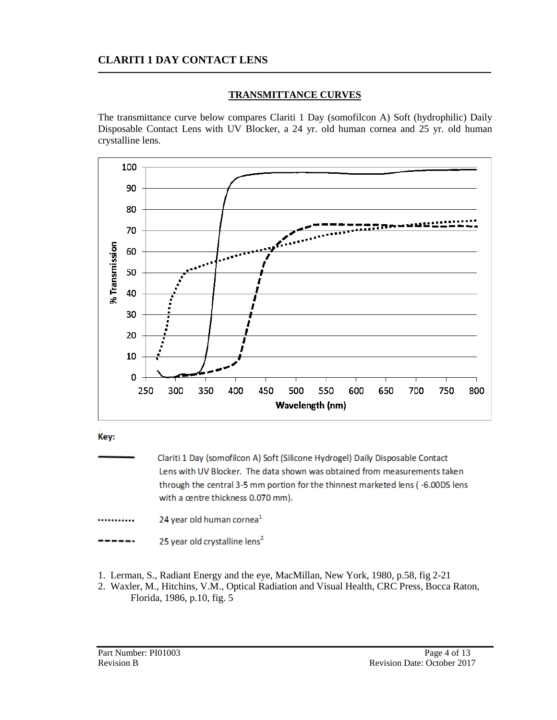## **TRANSMITTANCE CURVES**

The transmittance curve below compares Clariti 1 Day (somofilcon A) Soft (hydrophilic) Daily Disposable Contact Lens with UV Blocker, a 24 yr. old human cornea and 25 yr. old human crystalline lens.



Kev:

Clariti 1 Day (somofilcon A) Soft (Silicone Hydrogel) Daily Disposable Contact Lens with UV Blocker. The data shown was obtained from measurements taken through the central 3-5 mm portion for the thinnest marketed lens (-6.00DS lens with a centre thickness 0.070 mm).

24 year old human cornea<sup>1</sup> ...........

25 year old crystalline lens<sup>2</sup>

- 1. Lerman, S., Radiant Energy and the eye, MacMillan, New York, 1980, p.58, fig 2-21
- 2. Waxler, M., Hitchins, V.M., Optical Radiation and Visual Health, CRC Press, Bocca Raton, Florida, 1986, p.10, fig. 5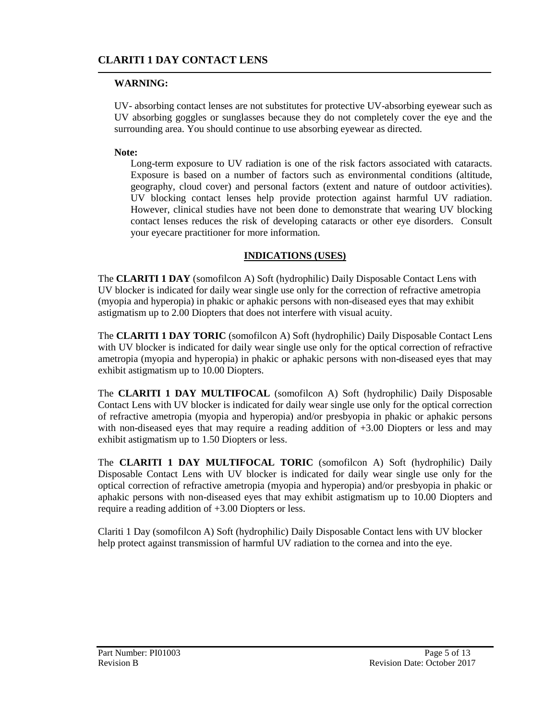## **WARNING:**

UV- absorbing contact lenses are not substitutes for protective UV-absorbing eyewear such as UV absorbing goggles or sunglasses because they do not completely cover the eye and the surrounding area. You should continue to use absorbing eyewear as directed.

### **Note:**

Long-term exposure to UV radiation is one of the risk factors associated with cataracts. Exposure is based on a number of factors such as environmental conditions (altitude, geography, cloud cover) and personal factors (extent and nature of outdoor activities). UV blocking contact lenses help provide protection against harmful UV radiation. However, clinical studies have not been done to demonstrate that wearing UV blocking contact lenses reduces the risk of developing cataracts or other eye disorders. Consult your eyecare practitioner for more information.

### **INDICATIONS (USES)**

The **CLARITI 1 DAY** (somofilcon A) Soft (hydrophilic) Daily Disposable Contact Lens with UV blocker is indicated for daily wear single use only for the correction of refractive ametropia (myopia and hyperopia) in phakic or aphakic persons with non-diseased eyes that may exhibit astigmatism up to 2.00 Diopters that does not interfere with visual acuity.

The **CLARITI 1 DAY TORIC** (somofilcon A) Soft (hydrophilic) Daily Disposable Contact Lens with UV blocker is indicated for daily wear single use only for the optical correction of refractive ametropia (myopia and hyperopia) in phakic or aphakic persons with non-diseased eyes that may exhibit astigmatism up to 10.00 Diopters.

The **CLARITI 1 DAY MULTIFOCAL** (somofilcon A) Soft (hydrophilic) Daily Disposable Contact Lens with UV blocker is indicated for daily wear single use only for the optical correction of refractive ametropia (myopia and hyperopia) and/or presbyopia in phakic or aphakic persons with non-diseased eyes that may require a reading addition of  $+3.00$  Diopters or less and may exhibit astigmatism up to 1.50 Diopters or less.

The **CLARITI 1 DAY MULTIFOCAL TORIC** (somofilcon A) Soft (hydrophilic) Daily Disposable Contact Lens with UV blocker is indicated for daily wear single use only for the optical correction of refractive ametropia (myopia and hyperopia) and/or presbyopia in phakic or aphakic persons with non-diseased eyes that may exhibit astigmatism up to 10.00 Diopters and require a reading addition of +3.00 Diopters or less.

Clariti 1 Day (somofilcon A) Soft (hydrophilic) Daily Disposable Contact lens with UV blocker help protect against transmission of harmful UV radiation to the cornea and into the eye.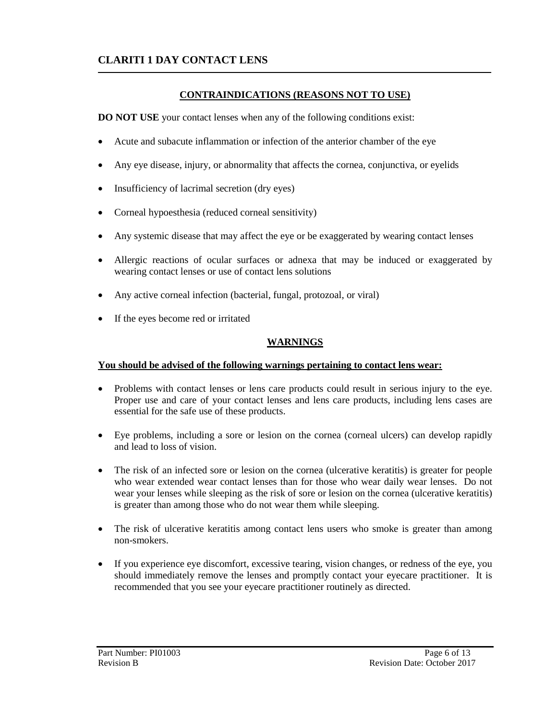## **CONTRAINDICATIONS (REASONS NOT TO USE)**

**DO NOT USE** your contact lenses when any of the following conditions exist:

- Acute and subacute inflammation or infection of the anterior chamber of the eye
- Any eye disease, injury, or abnormality that affects the cornea, conjunctiva, or eyelids
- Insufficiency of lacrimal secretion (dry eyes)
- Corneal hypoesthesia (reduced corneal sensitivity)
- Any systemic disease that may affect the eye or be exaggerated by wearing contact lenses
- Allergic reactions of ocular surfaces or adnexa that may be induced or exaggerated by wearing contact lenses or use of contact lens solutions
- Any active corneal infection (bacterial, fungal, protozoal, or viral)
- If the eyes become red or irritated

### **WARNINGS**

### **You should be advised of the following warnings pertaining to contact lens wear:**

- Problems with contact lenses or lens care products could result in serious injury to the eye. Proper use and care of your contact lenses and lens care products, including lens cases are essential for the safe use of these products.
- Eye problems, including a sore or lesion on the cornea (corneal ulcers) can develop rapidly and lead to loss of vision.
- The risk of an infected sore or lesion on the cornea (ulcerative keratitis) is greater for people who wear extended wear contact lenses than for those who wear daily wear lenses. Do not wear your lenses while sleeping as the risk of sore or lesion on the cornea (ulcerative keratitis) is greater than among those who do not wear them while sleeping.
- The risk of ulcerative keratitis among contact lens users who smoke is greater than among non-smokers.
- If you experience eye discomfort, excessive tearing, vision changes, or redness of the eye, you should immediately remove the lenses and promptly contact your eyecare practitioner. It is recommended that you see your eyecare practitioner routinely as directed.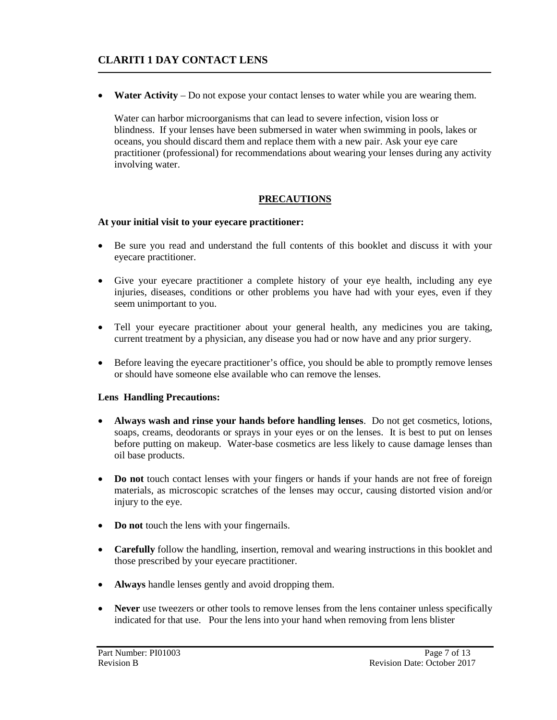• **Water Activity** – Do not expose your contact lenses to water while you are wearing them.

Water can harbor microorganisms that can lead to severe infection, vision loss or blindness. If your lenses have been submersed in water when swimming in pools, lakes or oceans, you should discard them and replace them with a new pair. Ask your eye care practitioner (professional) for recommendations about wearing your lenses during any activity involving water.

# **PRECAUTIONS**

### **At your initial visit to your eyecare practitioner:**

- Be sure you read and understand the full contents of this booklet and discuss it with your eyecare practitioner.
- Give your eyecare practitioner a complete history of your eye health, including any eye injuries, diseases, conditions or other problems you have had with your eyes, even if they seem unimportant to you.
- Tell your eyecare practitioner about your general health, any medicines you are taking, current treatment by a physician, any disease you had or now have and any prior surgery.
- Before leaving the eyecare practitioner's office, you should be able to promptly remove lenses or should have someone else available who can remove the lenses.

### **Lens Handling Precautions:**

- **Always wash and rinse your hands before handling lenses**. Do not get cosmetics, lotions, soaps, creams, deodorants or sprays in your eyes or on the lenses. It is best to put on lenses before putting on makeup. Water-base cosmetics are less likely to cause damage lenses than oil base products.
- **Do not** touch contact lenses with your fingers or hands if your hands are not free of foreign materials, as microscopic scratches of the lenses may occur, causing distorted vision and/or injury to the eye.
- **Do not** touch the lens with your fingernails.
- **Carefully** follow the handling, insertion, removal and wearing instructions in this booklet and those prescribed by your eyecare practitioner.
- **Always** handle lenses gently and avoid dropping them.
- **Never** use tweezers or other tools to remove lenses from the lens container unless specifically indicated for that use. Pour the lens into your hand when removing from lens blister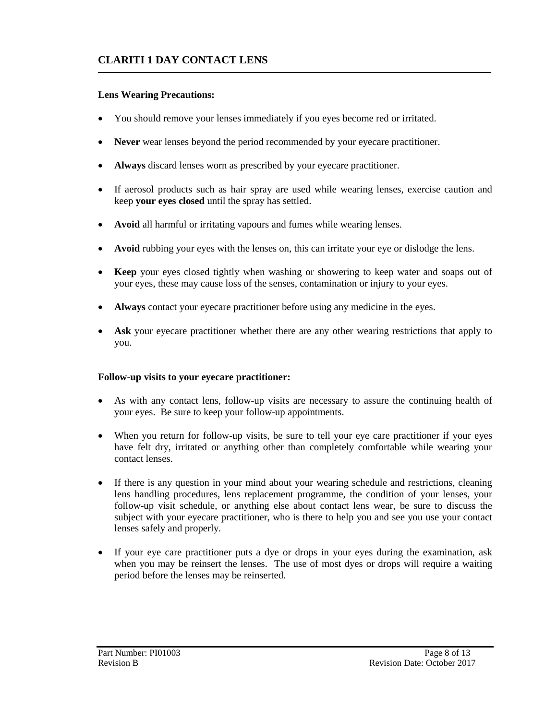### **Lens Wearing Precautions:**

- You should remove your lenses immediately if you eyes become red or irritated.
- **Never** wear lenses beyond the period recommended by your eyecare practitioner.
- **Always** discard lenses worn as prescribed by your eyecare practitioner.
- If aerosol products such as hair spray are used while wearing lenses, exercise caution and keep **your eyes closed** until the spray has settled.
- **Avoid** all harmful or irritating vapours and fumes while wearing lenses.
- Avoid rubbing your eyes with the lenses on, this can irritate your eye or dislodge the lens.
- **Keep** your eyes closed tightly when washing or showering to keep water and soaps out of your eyes, these may cause loss of the senses, contamination or injury to your eyes.
- **Always** contact your eyecare practitioner before using any medicine in the eyes.
- Ask your eyecare practitioner whether there are any other wearing restrictions that apply to you.

### **Follow-up visits to your eyecare practitioner:**

- As with any contact lens, follow-up visits are necessary to assure the continuing health of your eyes. Be sure to keep your follow-up appointments.
- When you return for follow-up visits, be sure to tell your eye care practitioner if your eyes have felt dry, irritated or anything other than completely comfortable while wearing your contact lenses.
- If there is any question in your mind about your wearing schedule and restrictions, cleaning lens handling procedures, lens replacement programme, the condition of your lenses, your follow-up visit schedule, or anything else about contact lens wear, be sure to discuss the subject with your eyecare practitioner, who is there to help you and see you use your contact lenses safely and properly.
- If your eye care practitioner puts a dye or drops in your eyes during the examination, ask when you may be reinsert the lenses. The use of most dyes or drops will require a waiting period before the lenses may be reinserted.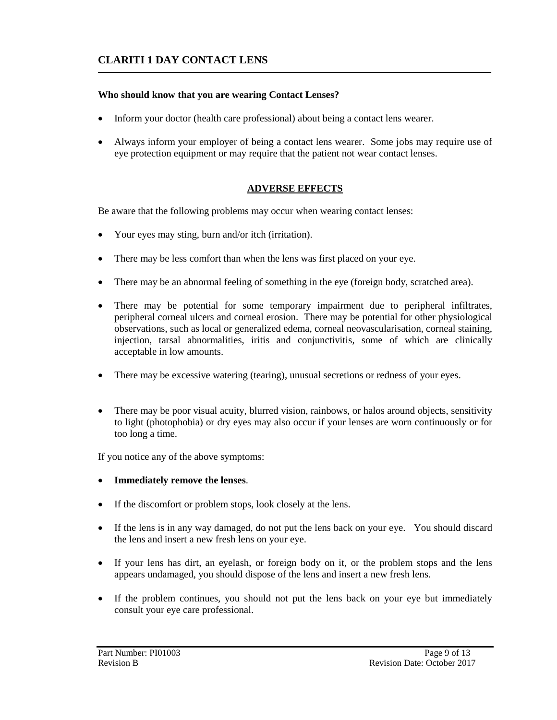## **Who should know that you are wearing Contact Lenses?**

- Inform your doctor (health care professional) about being a contact lens wearer.
- Always inform your employer of being a contact lens wearer. Some jobs may require use of eye protection equipment or may require that the patient not wear contact lenses.

# **ADVERSE EFFECTS**

Be aware that the following problems may occur when wearing contact lenses:

- Your eyes may sting, burn and/or itch (irritation).
- There may be less comfort than when the lens was first placed on your eye.
- There may be an abnormal feeling of something in the eye (foreign body, scratched area).
- There may be potential for some temporary impairment due to peripheral infiltrates, peripheral corneal ulcers and corneal erosion. There may be potential for other physiological observations, such as local or generalized edema, corneal neovascularisation, corneal staining, injection, tarsal abnormalities, iritis and conjunctivitis, some of which are clinically acceptable in low amounts.
- There may be excessive watering (tearing), unusual secretions or redness of your eyes.
- There may be poor visual acuity, blurred vision, rainbows, or halos around objects, sensitivity to light (photophobia) or dry eyes may also occur if your lenses are worn continuously or for too long a time.

If you notice any of the above symptoms:

- **Immediately remove the lenses**.
- If the discomfort or problem stops, look closely at the lens.
- If the lens is in any way damaged, do not put the lens back on your eye. You should discard the lens and insert a new fresh lens on your eye.
- If your lens has dirt, an eyelash, or foreign body on it, or the problem stops and the lens appears undamaged, you should dispose of the lens and insert a new fresh lens.
- If the problem continues, you should not put the lens back on your eye but immediately consult your eye care professional.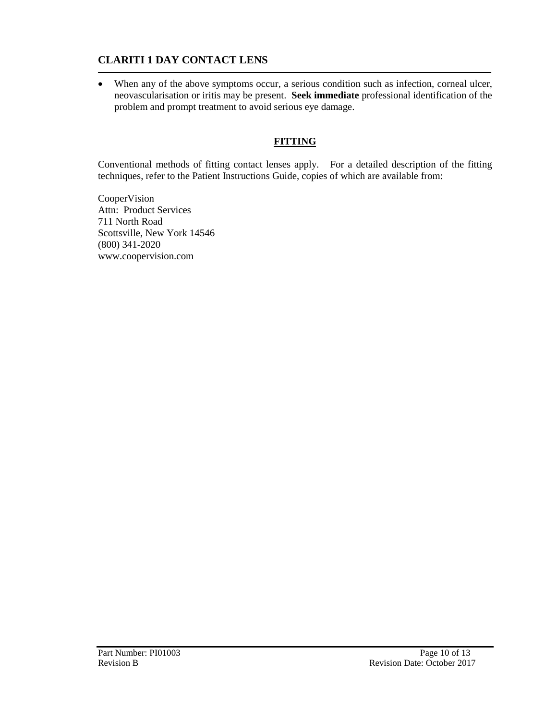• When any of the above symptoms occur, a serious condition such as infection, corneal ulcer, neovascularisation or iritis may be present. **Seek immediate** professional identification of the problem and prompt treatment to avoid serious eye damage.

# **FITTING**

Conventional methods of fitting contact lenses apply. For a detailed description of the fitting techniques, refer to the Patient Instructions Guide, copies of which are available from:

CooperVision Attn: Product Services 711 North Road Scottsville, New York 14546 (800) 341-2020 [www.coopervision.com](http://www.coopervision.com/)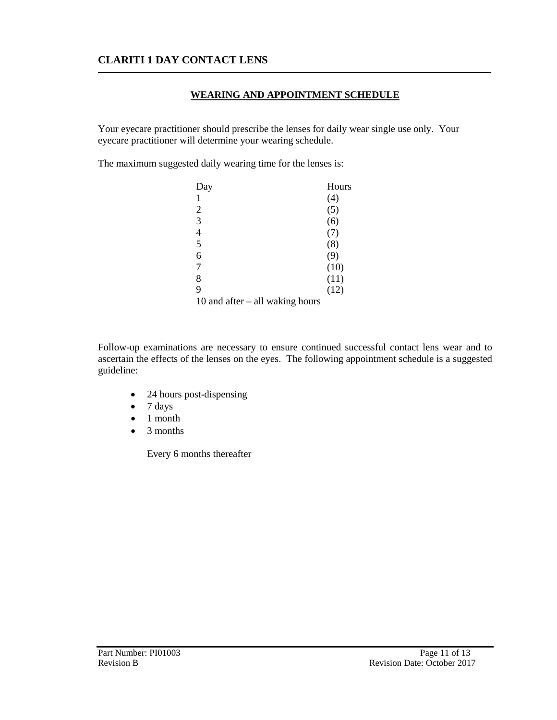## **WEARING AND APPOINTMENT SCHEDULE**

Your eyecare practitioner should prescribe the lenses for daily wear single use only. Your eyecare practitioner will determine your wearing schedule.

The maximum suggested daily wearing time for the lenses is:

| Day                               | Hours |
|-----------------------------------|-------|
|                                   | (4)   |
| 2                                 | (5)   |
| 3                                 | (6)   |
| 4                                 | (7)   |
| 5                                 | (8)   |
| 6                                 | (9)   |
|                                   | (10)  |
| 8                                 | (11)  |
| 9                                 | (12)  |
| 10 and after $-$ all waking hours |       |

Follow-up examinations are necessary to ensure continued successful contact lens wear and to ascertain the effects of the lenses on the eyes. The following appointment schedule is a suggested guideline:

- 24 hours post-dispensing
- 7 days
- 1 month
- 3 months

Every 6 months thereafter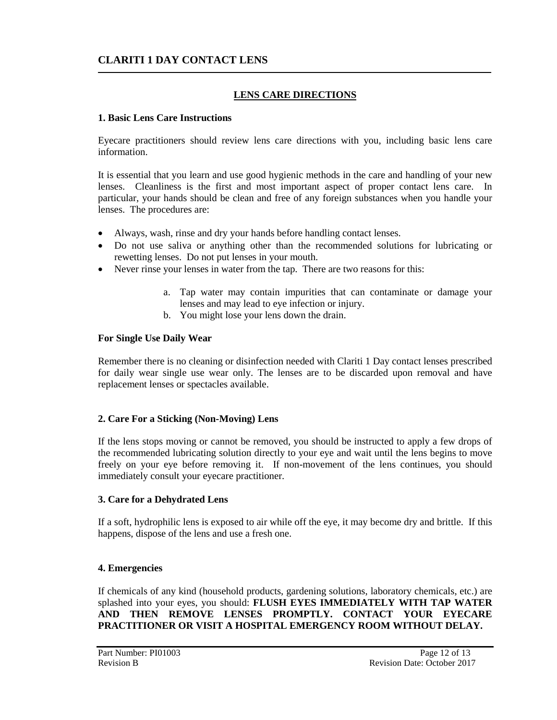## **LENS CARE DIRECTIONS**

#### **1. Basic Lens Care Instructions**

Eyecare practitioners should review lens care directions with you, including basic lens care information.

It is essential that you learn and use good hygienic methods in the care and handling of your new lenses. Cleanliness is the first and most important aspect of proper contact lens care. In particular, your hands should be clean and free of any foreign substances when you handle your lenses. The procedures are:

- Always, wash, rinse and dry your hands before handling contact lenses.
- Do not use saliva or anything other than the recommended solutions for lubricating or rewetting lenses. Do not put lenses in your mouth.
- Never rinse your lenses in water from the tap. There are two reasons for this:
	- a. Tap water may contain impurities that can contaminate or damage your lenses and may lead to eye infection or injury.
	- b. You might lose your lens down the drain.

#### **For Single Use Daily Wear**

Remember there is no cleaning or disinfection needed with Clariti 1 Day contact lenses prescribed for daily wear single use wear only. The lenses are to be discarded upon removal and have replacement lenses or spectacles available.

### **2. Care For a Sticking (Non-Moving) Lens**

If the lens stops moving or cannot be removed, you should be instructed to apply a few drops of the recommended lubricating solution directly to your eye and wait until the lens begins to move freely on your eye before removing it. If non-movement of the lens continues, you should immediately consult your eyecare practitioner.

### **3. Care for a Dehydrated Lens**

If a soft, hydrophilic lens is exposed to air while off the eye, it may become dry and brittle. If this happens, dispose of the lens and use a fresh one.

### **4. Emergencies**

If chemicals of any kind (household products, gardening solutions, laboratory chemicals, etc.) are splashed into your eyes, you should: **FLUSH EYES IMMEDIATELY WITH TAP WATER AND THEN REMOVE LENSES PROMPTLY. CONTACT YOUR EYECARE PRACTITIONER OR VISIT A HOSPITAL EMERGENCY ROOM WITHOUT DELAY.**